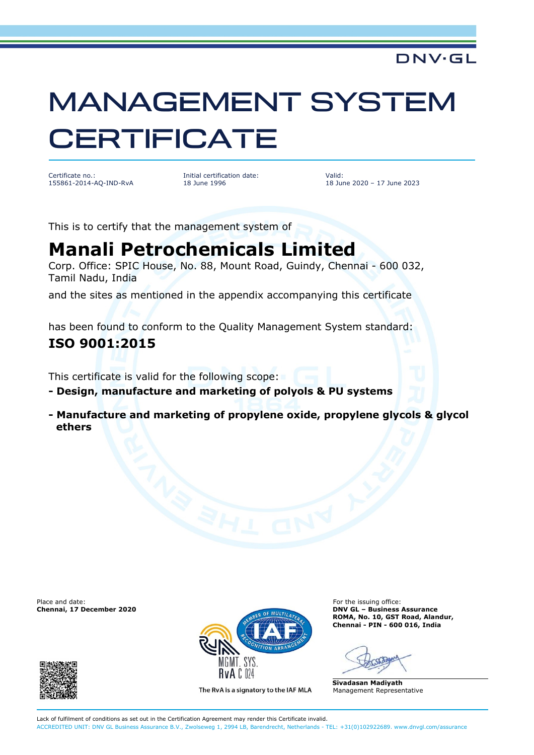### DNV·GL

# MANAGEMENT SYSTEM **CERTIFICATE**

Certificate no.: 155861-2014-AQ-IND-RvA Initial certification date: 18 June 1996

Valid: 18 June 2020 – 17 June 2023

This is to certify that the management system of

## **Manali Petrochemicals Limited**

Corp. Office: SPIC House, No. 88, Mount Road, Guindy, Chennai - 600 032, Tamil Nadu, India

and the sites as mentioned in the appendix accompanying this certificate

has been found to conform to the Quality Management System standard:

#### **ISO 9001:2015**

This certificate is valid for the following scope:

**- Design, manufacture and marketing of polyols & PU systems**

**- Manufacture and marketing of propylene oxide, propylene glycols & glycol ethers**

Place and date: For the issuing office:<br> **Chennai, 17 December 2020 Chennai, 17 December 2020** 





The RvA is a signatory to the IAF MLA

**Chennai, 17 December 2020 DNV GL – Business Assurance ROMA, No. 10, GST Road, Alandur, Chennai - PIN - 600 016, India**

**Sivadasan Madiyath** Management Representative

Lack of fulfilment of conditions as set out in the Certification Agreement may render this Certificate invalid. ACCREDITED UNIT: DNV GL Business Assurance B.V., Zwolseweg 1, 2994 LB, Barendrecht, Netherlands - TEL: +31(0)102922689. www.dnvgl.com/assurance